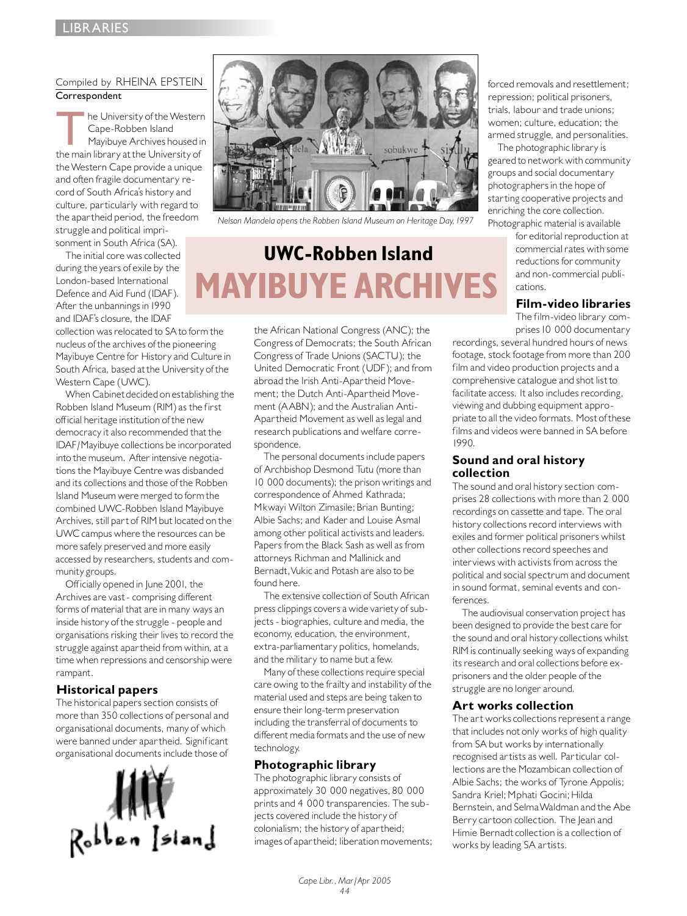### Compiled by RHEINA EPSTEIN Correspondent

he University of the Western Cape-Robben Island Mayibuye Archives housed in the main library at the University of the Western Cape provide a unique and often fragile documentary record of South Africa's history and culture, particularly with regard to the apartheid period, the freedom struggle and political imprisonment in South Africa (SA).

The initial core was collected during the years of exile by the London-based International Defence and Aid Fund (IDAF). After the unbannings in 1990 and IDAF's closure, the IDAF

collection was relocated to SA to form the nucleus of the archives of the pioneering Mayibuye Centre for History and Culture in South Africa, based at the University of the Western Cape (UWC).

When Cabinet decided on establishing the Robben Island Museum (RIM) as the first official heritage institution of the new democracy it also recommended that the IDAF/Mayibuye collections be incorporated into the museum. After intensive negotiations the Mavibuye Centre was disbanded and its collections and those of the Robben Island Museum were merged to form the combined UWC-Robben Island Mayibuye Archives, still part of RIM but located on the UWC campus where the resources can be more safely preserved and more easily accessed by researchers, students and community groups.

Officially opened in June 2001, the Archives are vast - comprising different forms of material that are in many ways an inside history of the struggle - people and organisations risking their lives to record the struggle against apartheid from within, at a time when repressions and censorship were rampant.

### **Historical papers**

The historical papers section consists of more than 350 collections of personal and organisational documents, many of which were banned under apartheid. Significant organisational documents include those of





Nelson Mandela opens the Robben Island Museum on Heritage Day, 1997

# **UWC-Robben Island MAYIBUYE ARCHIVES**

the African National Congress (ANC); the Congress of Democrats; the South African Congress of Trade Unions (SACTU); the United Democratic Front (UDF); and from abroad the Irish Anti-Apartheid Movement; the Dutch Anti-Apartheid Movement (AABN); and the Australian Anti-Apartheid Movement as well as legal and research publications and welfare correspondence.

The personal documents include papers of Archbishop Desmond Tutu (more than 10 000 documents); the prison writings and correspondence of Ahmed Kathrada; Mkwayi Wilton Zimasile; Brian Bunting; Albie Sachs; and Kader and Louise Asmal among other political activists and leaders. Papers from the Black Sash as well as from attorneys Richman and Mallinick and Bernadt, Vukic and Potash are also to be found here.

The extensive collection of South African press clippings covers a wide variety of subjects - biographies, culture and media, the economy, education, the environment, extra-parliamentary politics, homelands, and the military to name but a few.

Many of these collections require special care owing to the frailty and instability of the material used and steps are being taken to ensure their long-term preservation including the transferral of documents to different media formats and the use of new technology.

# Photographic library

The photographic library consists of approximately 30 000 negatives, 80 000 prints and 4 000 transparencies. The subjects covered include the history of colonialism; the history of apartheid; images of apartheid; liberation movements; forced removals and resettlement; repression; political prisoners, trials, labour and trade unions; women: culture, education: the armed struggle, and personalities.

The photographic library is geared to network with community groups and social documentary photographers in the hope of starting cooperative projects and enriching the core collection. Photographic material is available

> for editorial reproduction at commercial rates with some reductions for community and non-commercial publications.

# **Film-video libraries**

The film-video library comprises 10 000 documentary

recordings, several hundred hours of news footage, stock footage from more than 200 film and video production projects and a comprehensive catalogue and shot list to facilitate access. It also includes recording, viewing and dubbing equipment appropriate to all the video formats. Most of these films and videos were banned in SA before  $1990$ 

#### Sound and oral history collection

The sound and oral history section comprises 28 collections with more than 2 000 recordings on cassette and tape. The oral history collections record interviews with exiles and former political prisoners whilst other collections record speeches and interviews with activists from across the political and social spectrum and document in sound format, seminal events and conferences.

The audiovisual conservation project has been designed to provide the best care for the sound and oral history collections whilst RIM is continually seeking ways of expanding its research and oral collections before exprisoners and the older people of the struggle are no longer around.

#### **Art works collection**

The art works collections represent a range that includes not only works of high quality from SA but works by internationally recognised artists as well. Particular collections are the Mozambican collection of Albie Sachs; the works of Tyrone Appolis; Sandra Kriel: Mphati Gocini: Hilda Bernstein, and Selma Waldman and the Abe Berry cartoon collection. The Jean and Himie Bernadt collection is a collection of works by leading SA artists.